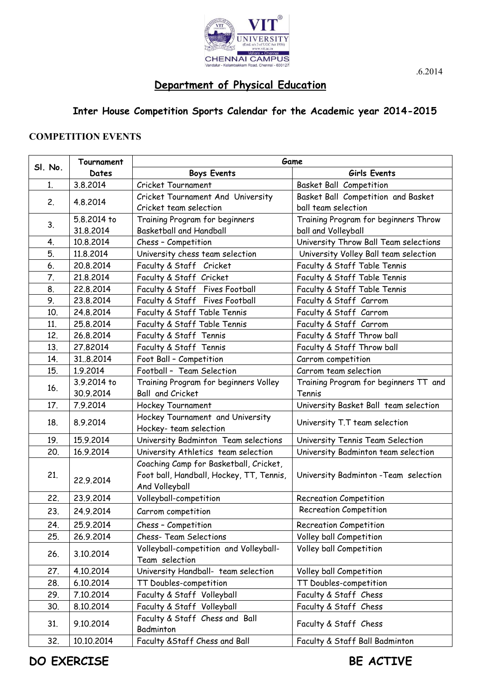

## **Department of Physical Education**

## **Inter House Competition Sports Calendar for the Academic year 2014-2015**

## **COMPETITION EVENTS**

| SI. No. | Tournament  | Game                                                       |                                       |  |
|---------|-------------|------------------------------------------------------------|---------------------------------------|--|
|         | Dates       | <b>Boys Events</b>                                         | Girls Events                          |  |
| 1.      | 3.8.2014    | Cricket Tournament                                         | <b>Basket Ball Competition</b>        |  |
| 2.      | 4.8.2014    | Cricket Tournament And University                          | Basket Ball Competition and Basket    |  |
|         |             | Cricket team selection                                     | ball team selection                   |  |
| 3.      | 5.8.2014 to | Training Program for beginners                             | Training Program for beginners Throw  |  |
|         | 31.8.2014   | <b>Basketball and Handball</b>                             | ball and Volleyball                   |  |
| 4.      | 10.8.2014   | Chess - Competition                                        | University Throw Ball Team selections |  |
| 5.      | 11.8.2014   | University chess team selection                            | University Volley Ball team selection |  |
| 6.      | 20.8.2014   | Faculty & Staff Cricket                                    | Faculty & Staff Table Tennis          |  |
| 7.      | 21.8.2014   | Faculty & Staff Cricket                                    | Faculty & Staff Table Tennis          |  |
| 8.      | 22.8.2014   | Faculty & Staff Fives Football                             | Faculty & Staff Table Tennis          |  |
| 9.      | 23.8.2014   | Faculty & Staff Fives Football                             | Faculty & Staff Carrom                |  |
| 10.     | 24.8.2014   | Faculty & Staff Table Tennis                               | Faculty & Staff Carrom                |  |
| 11.     | 25.8.2014   | Faculty & Staff Table Tennis                               | Faculty & Staff Carrom                |  |
| 12.     | 26.8.2014   | Faculty & Staff Tennis                                     | Faculty & Staff Throw ball            |  |
| 13.     | 27.82014    | Faculty & Staff Tennis                                     | Faculty & Staff Throw ball            |  |
| 14.     | 31.8.2014   | Foot Ball - Competition                                    | Carrom competition                    |  |
| 15.     | 1.9.2014    | Football - Team Selection                                  | Carrom team selection                 |  |
|         | 3.9.2014 to | Training Program for beginners Volley                      | Training Program for beginners TT and |  |
| 16.     | 30.9.2014   | Ball and Cricket                                           | Tennis                                |  |
| 17.     | 7.9.2014    | Hockey Tournament                                          | University Basket Ball team selection |  |
| 18.     | 8.9.2014    | Hockey Tournament and University                           | University T.T team selection         |  |
|         |             | Hockey-team selection                                      |                                       |  |
| 19.     | 15.9.2014   | University Badminton Team selections                       | University Tennis Team Selection      |  |
| 20.     | 16.9.2014   | University Athletics team selection                        | University Badminton team selection   |  |
| 21.     | 22.9.2014   | Coaching Camp for Basketball, Cricket,                     | University Badminton - Team selection |  |
|         |             | Foot ball, Handball, Hockey, TT, Tennis,<br>And Volleyball |                                       |  |
| 22.     | 23.9.2014   | Volleyball-competition                                     | <b>Recreation Competition</b>         |  |
| 23.     | 24.9.2014   | Carrom competition                                         | <b>Recreation Competition</b>         |  |
| 24.     | 25.9.2014   | Chess - Competition                                        | <b>Recreation Competition</b>         |  |
| 25.     | 26.9.2014   | <b>Chess- Team Selections</b>                              | Volley ball Competition               |  |
| 26.     | 3.10.2014   | Volleyball-competition and Volleyball-                     | Volley ball Competition               |  |
|         |             | Team selection                                             |                                       |  |
| 27.     | 4.10.2014   | University Handball- team selection                        | Volley ball Competition               |  |
| 28.     | 6.10.2014   | TT Doubles-competition                                     | TT Doubles-competition                |  |
| 29.     | 7.10.2014   | Faculty & Staff Volleyball                                 | Faculty & Staff Chess                 |  |
| 30.     | 8.10.2014   | Faculty & Staff Volleyball                                 | Faculty & Staff Chess                 |  |
| 31.     | 9.10.2014   | Faculty & Staff Chess and Ball<br>Badminton                | Faculty & Staff Chess                 |  |
| 32.     | 10.10.2014  | Faculty & Staff Chess and Ball                             | Faculty & Staff Ball Badminton        |  |

.6.2014

**DO EXERCISE** BE ACTIVE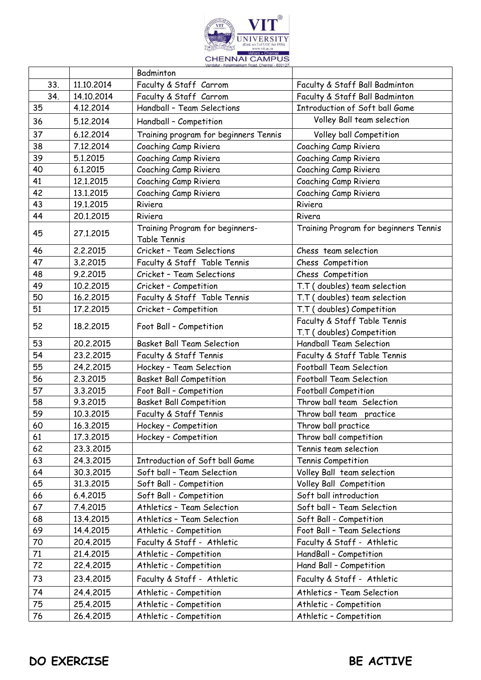

|     |            | Badminton                                       |                                       |
|-----|------------|-------------------------------------------------|---------------------------------------|
| 33. | 11.10.2014 | Faculty & Staff Carrom                          | Faculty & Staff Ball Badminton        |
| 34. | 14.10.2014 | Faculty & Staff Carrom                          | Faculty & Staff Ball Badminton        |
| 35  | 4.12.2014  | Handball - Team Selections                      | Introduction of Soft ball Game        |
| 36  | 5.12.2014  | Handball - Competition                          | Volley Ball team selection            |
| 37  | 6.12.2014  | Training program for beginners Tennis           | Volley ball Competition               |
| 38  | 7.12.2014  | Coaching Camp Riviera                           | Coaching Camp Riviera                 |
| 39  | 5.1.2015   | Coaching Camp Riviera                           | Coaching Camp Riviera                 |
| 40  | 6.1.2015   | Coaching Camp Riviera                           | Coaching Camp Riviera                 |
| 41  | 12.1.2015  | Coaching Camp Riviera                           | Coaching Camp Riviera                 |
| 42  | 13.1.2015  | Coaching Camp Riviera                           | Coaching Camp Riviera                 |
| 43  | 19.1.2015  | Riviera                                         | Riviera                               |
| 44  | 20.1.2015  | Riviera                                         | Rivera                                |
| 45  | 27.1.2015  | Training Program for beginners-<br>Table Tennis | Training Program for beginners Tennis |
| 46  | 2.2.2015   | Cricket - Team Selections                       | Chess team selection                  |
| 47  | 3.2.2015   | Faculty & Staff Table Tennis                    | Chess Competition                     |
| 48  | 9.2.2015   | Cricket - Team Selections                       | Chess Competition                     |
| 49  | 10.2.2015  | Cricket - Competition                           | T.T (doubles) team selection          |
| 50  | 16.2.2015  | Faculty & Staff Table Tennis                    | T.T (doubles) team selection          |
| 51  | 17.2.2015  | Cricket - Competition                           | T.T (doubles) Competition             |
| 52  | 18.2.2015  | Foot Ball - Competition                         | Faculty & Staff Table Tennis          |
|     |            |                                                 | T.T (doubles) Competition             |
| 53  | 20.2.2015  | <b>Basket Ball Team Selection</b>               | <b>Handball Team Selection</b>        |
| 54  | 23.2.2015  | Faculty & Staff Tennis                          | Faculty & Staff Table Tennis          |
| 55  | 24.2.2015  | Hockey - Team Selection                         | Football Team Selection               |
| 56  | 2.3.2015   | <b>Basket Ball Competition</b>                  | <b>Football Team Selection</b>        |
| 57  | 3.3.2015   | Foot Ball - Competition                         | <b>Football Competition</b>           |
| 58  | 9.3.2015   | <b>Basket Ball Competition</b>                  | Throw ball team Selection             |
| 59  | 10.3.2015  | Faculty & Staff Tennis                          | Throw ball team practice              |
| 60  | 16.3.2015  | Hockey - Competition                            | Throw ball practice                   |
| 61  | 17.3.2015  | Hockey - Competition                            | Throw ball competition                |
| 62  | 23.3.2015  |                                                 | Tennis team selection                 |
| 63  | 24.3.2015  | Introduction of Soft ball Game                  | Tennis Competition                    |
| 64  | 30.3.2015  | Soft ball - Team Selection                      | Volley Ball team selection            |
| 65  | 31.3.2015  | Soft Ball - Competition                         | Volley Ball Competition               |
| 66  | 6.4.2015   | Soft Ball - Competition                         | Soft ball introduction                |
| 67  | 7.4.2015   | Athletics - Team Selection                      | Soft ball - Team Selection            |
| 68  | 13.4.2015  | Athletics - Team Selection                      | Soft Ball - Competition               |
| 69  | 14.4.2015  | Athletic - Competition                          | Foot Ball - Team Selections           |
| 70  | 20.4.2015  | Faculty & Staff - Athletic                      | Faculty & Staff - Athletic            |
| 71  | 21.4.2015  | Athletic - Competition                          | HandBall - Competition                |
| 72  | 22.4.2015  | Athletic - Competition                          | Hand Ball - Competition               |
| 73  | 23.4.2015  | Faculty & Staff - Athletic                      | Faculty & Staff - Athletic            |
| 74  | 24.4.2015  | Athletic - Competition                          | Athletics - Team Selection            |
| 75  | 25.4.2015  | Athletic - Competition                          | Athletic - Competition                |
| 76  | 26.4.2015  | Athletic - Competition                          | Athletic - Competition                |